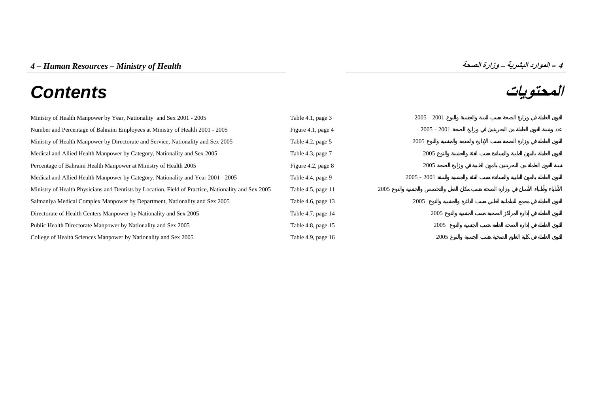# **المحتويات** *Contents*



| Ministry of Health Manpower by Year, Nationality and Sex 2001 - 2005                                | Table 4.1, page 3  | $2005 - 2001$ |
|-----------------------------------------------------------------------------------------------------|--------------------|---------------|
| Number and Percentage of Bahraini Employees at Ministry of Health 2001 - 2005                       | Figure 4.1, page 4 | $2005 - 2001$ |
| Ministry of Health Manpower by Directorate and Service, Nationality and Sex 2005                    | Table 4.2, page 5  | 2005          |
| Medical and Allied Health Manpower by Category, Nationality and Sex 2005                            | Table 4.3, page 7  | 2005          |
| Percentage of Bahraini Health Manpower at Ministry of Health 2005                                   | Figure 4.2, page 8 | 2005          |
| Medical and Allied Health Manpower by Category, Nationality and Year 2001 - 2005                    | Table 4.4, page 9  | $2005 - 2001$ |
| Ministry of Health Physicians and Dentists by Location, Field of Practice, Nationality and Sex 2005 | Table 4.5, page 11 | 2005          |
| Salmaniya Medical Complex Manpower by Department, Nationality and Sex 2005                          | Table 4.6, page 13 | 2005          |
| Directorate of Health Centers Manpower by Nationality and Sex 2005                                  | Table 4.7, page 14 | 2005          |
| Public Health Directorate Manpower by Nationality and Sex 2005                                      | Table 4.8, page 15 | 2005          |
| College of Health Sciences Manpower by Nationality and Sex 2005                                     | Table 4.9, page 16 | 2005          |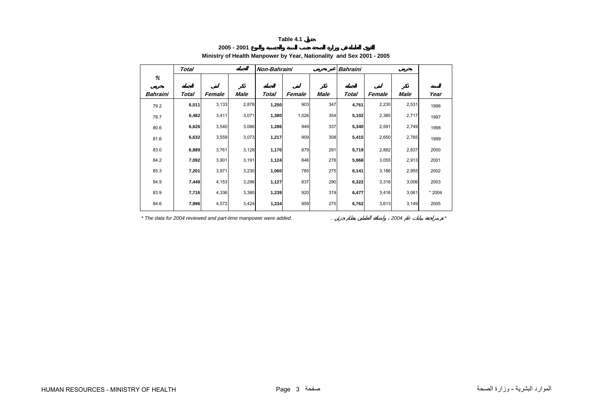## **Ministry of Health Manpower by Year, Nationality and Sex 2001 - 2005**

<span id="page-1-0"></span>

|          | <b>Total</b> |        |       | Non-Bahraini |        |      | <b>Bahraini</b> |        |       |        |
|----------|--------------|--------|-------|--------------|--------|------|-----------------|--------|-------|--------|
| %        |              |        |       |              |        |      |                 |        |       |        |
| Bahraini | Total        | Female | Male  | Total        | Female | Male | Total           | Female | Male  | Year   |
| 79.2     | 6,011        | 3,133  | 2,878 | 1,250        | 903    | 347  | 4,761           | 2,230  | 2,531 | 1996   |
| 78.7     | 6,482        | 3,411  | 3,071 | 1,380        | 1,026  | 354  | 5,102           | 2,385  | 2,717 | 1997   |
| 80.6     | 6,626        | 3,540  | 3,086 | 1,286        | 949    | 337  | 5,340           | 2,591  | 2,749 | 1998   |
| 81.6     | 6,632        | 3,559  | 3,073 | 1,217        | 909    | 308  | 5,415           | 2,650  | 2,765 | 1999   |
| 83.0     | 6,889        | 3,761  | 3,128 | 1,170        | 879    | 291  | 5,719           | 2,882  | 2,837 | 2000   |
| 84.2     | 7,092        | 3,901  | 3,191 | 1,124        | 846    | 278  | 5,968           | 3,055  | 2,913 | 2001   |
| 85.3     | 7,201        | 3,971  | 3,230 | 1,060        | 785    | 275  | 6,141           | 3,186  | 2,955 | 2002   |
| 84.9     | 7,449        | 4,153  | 3,296 | 1,127        | 837    | 290  | 6,322           | 3,316  | 3,006 | 2003   |
| 83.9     | 7,716        | 4,336  | 3,380 | 1,239        | 920    | 319  | 6,477           | 3,416  | 3,061 | * 2004 |
| 84.6     | 7,996        | 4,572  | 3,424 | 1,234        | 959    | 275  | 6,762           | 3,613  | 3,149 | 2005   |

*\* The data for 2004 reviewed and part-time manpower were added.* . *2004 \**

**2005 - 2001**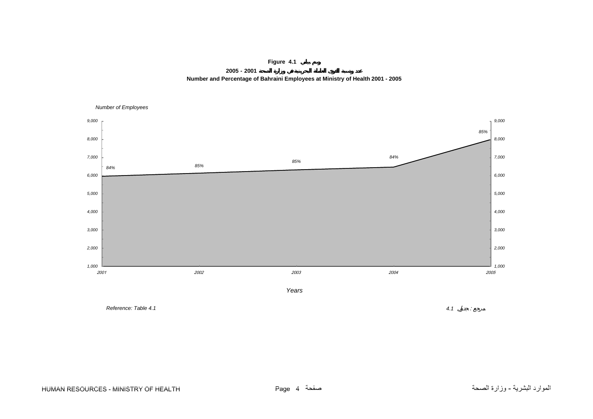**Figure 4.1**

**2005 - 2001 Number and Percentage of Bahraini Employees at Ministry of Health 2001 - 2005**

<span id="page-2-0"></span>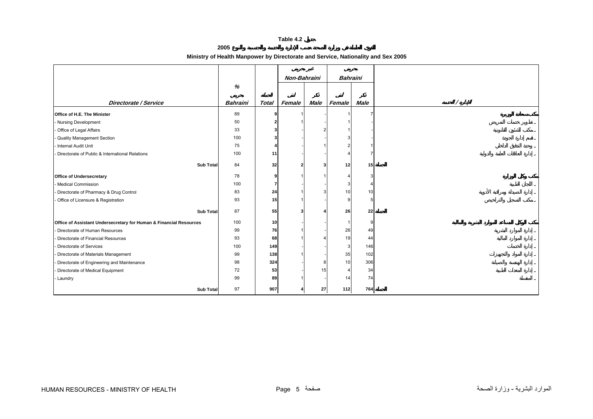**2005**

**Ministry of Health Manpower by Directorate and Service, Nationality and Sex 2005**

<span id="page-3-0"></span>

|                                                                    |                 |              | Non-Bahraini |      | <b>Bahraini</b> |             |     |
|--------------------------------------------------------------------|-----------------|--------------|--------------|------|-----------------|-------------|-----|
|                                                                    | %               |              |              |      |                 |             |     |
|                                                                    |                 |              |              |      |                 |             |     |
| <b>Directorate / Service</b>                                       | <b>Bahraini</b> | <b>Total</b> | Female       | Male | Female          | <b>Male</b> |     |
| <b>Office of H.E. The Minister</b>                                 | 89              |              |              |      |                 |             |     |
| - Nursing Development                                              | 50              |              |              |      |                 |             |     |
| - Office of Legal Affairs                                          | 33              |              |              |      |                 |             |     |
| - Quality Management Section                                       | 100             |              |              |      |                 |             |     |
| - Internal Audit Unit                                              | 75              |              |              |      |                 |             |     |
| - Directorate of Public & International Relations                  | 100             | 11           |              |      |                 |             |     |
| <b>Sub Total</b>                                                   | 84              | 32           |              | 3    | 12 <sup>1</sup> |             | 15  |
|                                                                    |                 |              |              |      |                 |             |     |
| <b>Office of Undersecretary</b>                                    | 78              | q            |              |      |                 |             |     |
| - Medical Commission                                               | 100             | 7            |              |      |                 |             |     |
| Directorate of Pharmacy & Drug Control                             | 83              | 24           |              |      | 10              |             | 10  |
| - Office of Licensure & Registration                               | 93              | 15           |              |      |                 | 5           |     |
| <b>Sub Total</b>                                                   | 87              | 55           |              |      | 26              |             | 22  |
| Office of Assistant Undersecretary for Human & Financial Resources | 100             | 10           |              |      |                 | 9           |     |
| - Directorate of Human Resources                                   | 99              | 76           |              |      | 26              |             | 49  |
| Directorate of Financial Resources                                 | 93              | 68           |              |      | 19              | 44          |     |
| Directorate of Services                                            | 100             | 149          |              |      |                 |             | 146 |
| - Directorate of Materials Management                              | 99              | 138          |              |      | 35              |             | 102 |
| - Directorate of Engineering and Maintenance                       | 98              | 324          |              | 8    | 10              |             | 306 |
| Directorate of Medical Equipment                                   | 72              | 53           |              | 15   |                 |             | 34  |
| - Laundry                                                          | 99              | 89           |              |      | 14              |             | 74  |
| <b>Sub Total</b>                                                   | 97              | 907          |              | 27   | 112             |             | 764 |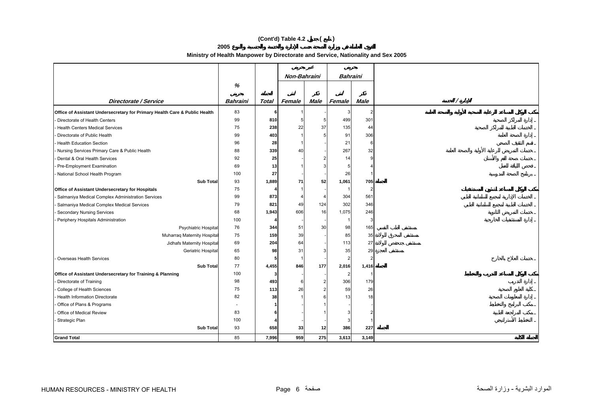# **(Cont'd) Table 4.2 ( )**

**2005**

## **Ministry of Health Manpower by Directorate and Service, Nationality and Sex 2005**

|                                                                            |          |              | Non-Bahraini |                 | <b>Bahraini</b> |                |  |
|----------------------------------------------------------------------------|----------|--------------|--------------|-----------------|-----------------|----------------|--|
|                                                                            | %        |              |              |                 |                 |                |  |
|                                                                            |          |              |              |                 |                 |                |  |
| Directorate / Service                                                      | Bahraini | <b>Total</b> | Female       | Male            | Female          | Male           |  |
| Office of Assistant Undersecretary for Primary Health Care & Public Health | 83       |              |              |                 |                 | 2              |  |
| Directorate of Health Centers                                              | 99       | 810          |              |                 | 499             | 301            |  |
| - Health Centers Medical Services                                          | 75       | 238          | 22           | 37              | 135             | 44             |  |
| Directorate of Public Health                                               | 99       | 403          |              |                 | 91              | 306            |  |
| <b>Health Education Section</b>                                            | 96       | 28           |              |                 | 21              | 6              |  |
| - Nursing Services Primary Care & Public Health                            | 88       | 339          | 40           |                 | 267             | 32             |  |
| Dental & Oral Health Services                                              | 92       | 25           |              |                 | 14              | 9              |  |
| Pre-Employment Examination                                                 | 69       | 13           |              |                 | 5               |                |  |
| National School Health Program                                             | 100      | 27           |              |                 | 26              |                |  |
| <b>Sub Total</b>                                                           | 93       | 1,889        | 71           | 52              | 1,061           | 705            |  |
| Office of Assistant Undersecretary for Hospitals                           | 75       |              |              |                 |                 | 2              |  |
| - Salmaniya Medical Complex Administration Services                        | 99       | 873          |              |                 | 304             | 561            |  |
| Salmaniya Medical Complex Medical Services                                 | 79       | 821          | 49           | 124             | 302             | 346            |  |
| Secondary Nursing Services                                                 | 68       | 1,943        | 606          | 16              | 1,075           | 246            |  |
| Periphery Hospitals Administration                                         | 100      |              |              |                 |                 | 3              |  |
| Psychiatric Hospital                                                       | 76       | 344          | 51           | 30              | 98              | 165            |  |
| Muharraq Maternity Hospital                                                | 75       | 159          | 39           |                 | 85              | 35             |  |
| Jidhafs Maternity Hospital                                                 | 69       | 204          | 64           |                 | 113             | 27             |  |
| Geriatric Hospital                                                         | 65       | 98           | 31           |                 | 35              | 29             |  |
| Overseas Health Services                                                   | 80       | 5            |              |                 | $\overline{2}$  | $\overline{2}$ |  |
| <b>Sub Total</b>                                                           | 77       | 4,455        | 846          | 177             | 2,016           | 1,416          |  |
| Office of Assistant Undersecretary for Training & Planning                 | 100      | 3            |              |                 |                 |                |  |
| - Directorate of Training                                                  | 98       | 493          | 6            | $\overline{2}$  | 306             | 179            |  |
| College of Health Sciences                                                 | 75       | 113          | 26           | $\overline{2}$  | 59              | 26             |  |
| - Health Information Directorate                                           | 82       | 38           |              | 6               | 13              | 18             |  |
| Office of Plans & Programs                                                 |          |              |              |                 |                 |                |  |
| Office of Medical Review                                                   | 83       |              |              |                 |                 |                |  |
| - Strategic Plan                                                           | 100      |              |              |                 |                 |                |  |
| <b>Sub Total</b>                                                           | 93       | 658          | 33           | 12 <sub>1</sub> | 386             | 227            |  |
| <b>Grand Total</b>                                                         | 85       | 7,996        | 959          | 275             | 3,613           | 3,149          |  |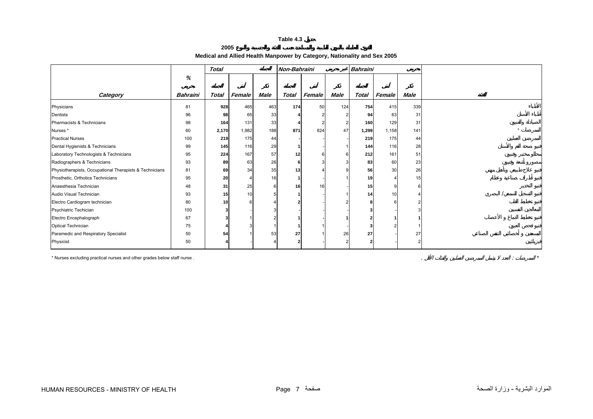## **2005**

## **Medical and Allied Health Manpower by Category, Nationality and Sex 2005**

<span id="page-5-0"></span>

|                                                         |          | <b>Total</b> |        |             | Non-Bahraini |        |             | <b>Bahraini</b> |                         |      |
|---------------------------------------------------------|----------|--------------|--------|-------------|--------------|--------|-------------|-----------------|-------------------------|------|
|                                                         | %        |              |        |             |              |        |             |                 |                         |      |
| Category                                                | Bahraini | <b>Total</b> | Female | <b>Male</b> | <b>Total</b> | Female | <b>Male</b> | <b>Total</b>    | Female                  | Male |
| Physicians                                              | 81       | 928          | 465    | 463         | 174          | 50     | 124         | 754             | 415                     | 339  |
| Dentists                                                | 96       | 98           | 65     | 33          |              |        |             | 94              | 63                      | 31   |
| Pharmacists & Technicians                               | 98       | 164          | 131    | 33          |              |        |             | 160             | 129                     | 31   |
| Nurses*                                                 | 60       | 2,170        | 1,982  | 188         | 871          | 824    | 47          | 1,299           | 1,158                   | 141  |
| <b>Practical Nurses</b>                                 | 100      | 219          | 175    | 44          |              |        |             | 219             | 175                     | 44   |
| Dental Hygienists & Technicians                         | 99       | 145          | 116    | 29          |              |        |             | 144             | 116                     | 28   |
| Laboratory Technologists & Technicians                  | 95       | 224          | 167    | 57          | 12           |        |             | 212             | 161                     | 51   |
| Radiographers & Technicians                             | 93       | 89           | 63     | 26          |              |        |             | 83              | 60                      | 23   |
| Physiotherapists, Occupational Therapists & Technicians | 81       | 69           | 34     | 35          | 13           |        |             | 56              | 30                      | 26   |
| Prosthetic, Orthotics Technicians                       | 95       | 20           |        | 16          |              |        |             | 19              | $\overline{\mathbf{4}}$ | 15   |
| Anaesthesia Technician                                  | 48       | 31           | 25     |             | 16           | 16     |             | 15              |                         |      |
| Audio Visual Technician                                 | 93       | 15           | 10     |             |              |        |             | 14              | 10                      |      |
| Electro Cardiogram technician                           | 80       | 10           |        |             |              |        |             |                 |                         |      |
| Psychiatric Techician                                   | 100      |              |        |             |              |        |             |                 |                         |      |
| Electro Encephalograph                                  | 67       |              |        |             |              |        |             |                 |                         |      |
| Optical Technician                                      | 75       |              |        |             |              |        |             |                 |                         |      |
| Paramedic and Respiratory Specialist                    | 50       | 54           |        | 53          | 27           |        | 26          | 27              |                         | 27   |
| Physicist                                               | 50       |              |        |             |              |        |             |                 |                         |      |

\* Nurses excluding practical nurses and other grades below staff nurse . . : *\**

الموارد البشرية - وزارة الصحة الصحافة السوارد البشرية - وزارة الصحة الصحافة السوارد البشرية - وزارة الصحة المو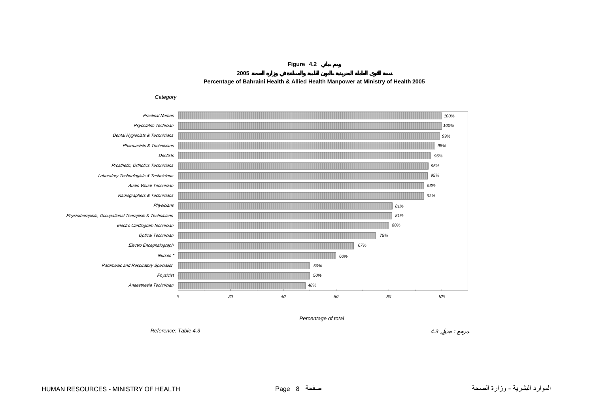**Figure 4.2**

**2005Percentage of Bahraini Health & Allied Health Manpower at Ministry of Health 2005**

<span id="page-6-0"></span>

*Reference: Table 4.3*

*4.3* :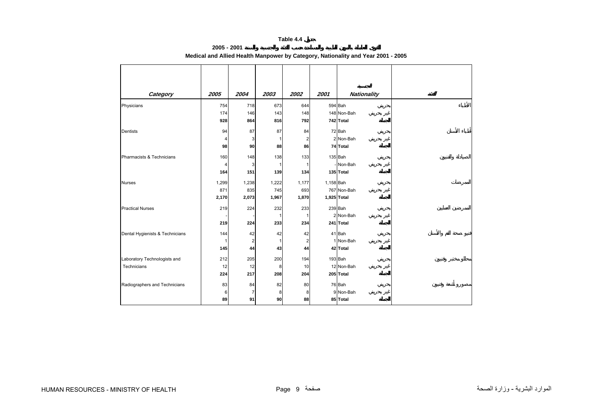## **2005 - 2001 Medical and Allied Health Manpower by Category, Nationality and Year 2001 - 2005**

<span id="page-7-0"></span>

| Category                        | 2005  | 2004  | 2003  | 2002                    | 2001      | <b>Nationality</b> |
|---------------------------------|-------|-------|-------|-------------------------|-----------|--------------------|
|                                 |       |       |       |                         |           |                    |
| Physicians                      | 754   | 718   | 673   | 644                     |           | 594 Bah            |
|                                 | 174   | 146   | 143   | 148                     |           | 148 Non-Bah        |
|                                 | 928   | 864   | 816   | 792                     |           | 742 Total          |
| <b>Dentists</b>                 | 94    | 87    | 87    | 84                      |           | 72 Bah             |
|                                 | 4     | 3     | -1    | $\overline{2}$          |           | 2 Non-Bah          |
|                                 | 98    | 90    | 88    | 86                      |           | 74 Total           |
| Pharmacists & Technicians       | 160   | 148   | 138   | 133                     |           | 135 Bah            |
|                                 | 4     | 3     | -1    | 1                       |           | - Non-Bah          |
|                                 | 164   | 151   | 139   | 134                     |           | 135 Total          |
| <b>Nurses</b>                   | 1,299 | 1,238 | 1,222 | 1,177                   | 1,158 Bah |                    |
|                                 | 871   | 835   | 745   | 693                     |           | 767 Non-Bah        |
|                                 | 2,170 | 2,073 | 1,967 | 1,870                   |           | 1,925 Total        |
| <b>Practical Nurses</b>         | 219   | 224   | 232   | 233                     |           | 239 Bah            |
|                                 |       |       | -1    | 1                       |           | 2 Non-Bah          |
|                                 | 219   | 224   | 233   | 234                     |           | 241 Total          |
| Dental Hygienists & Technicians | 144   | 42    | 42    | 42                      |           | 41 Bah             |
|                                 | 1     | 2     | -1    | $\overline{\mathbf{c}}$ |           | 1 Non-Bah          |
|                                 | 145   | 44    | 43    | 44                      |           | 42 Total           |
| Laboratory Technologists and    | 212   | 205   | 200   | 194                     |           | 193 Bah            |
| Technicians                     | 12    | 12    | 8     | 10                      |           | 12 Non-Bah         |
|                                 | 224   | 217   | 208   | 204                     |           | 205 Total          |
| Radiographers and Technicians   | 83    | 84    | 82    | 80                      |           | 76 Bah             |
|                                 | 6     | 7     | 8     | 8                       |           | 9 Non-Bah          |
|                                 | 89    | 91    | 90    | 88                      |           | 85 Total           |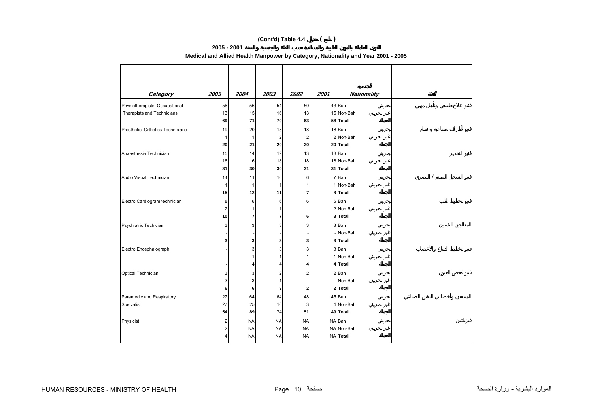# **(Cont'd) Table 4.4 ( )**

#### **2005 - 2001**

**Medical and Allied Health Manpower by Category, Nationality and Year 2001 - 2005** 

| Category                          | 2005                    | 2004                   | 2003                    | 2002                   | 2001 | <b>Nationality</b>   |
|-----------------------------------|-------------------------|------------------------|-------------------------|------------------------|------|----------------------|
| Physiotherapists, Occupational    | 56                      | 56                     | 54                      | 50                     |      | 43 Bah               |
| Therapists and Technicians        | 13                      | 15                     | 16                      | 13                     |      | 15 Non-Bah           |
|                                   | 69                      | 71                     | 70                      | 63                     |      | 58 Total             |
| Prosthetic, Orthotics Technicians | 19                      | 20                     | 18                      | 18                     |      | 18 Bah               |
|                                   | $\mathbf 1$             | 1                      | $\overline{\mathbf{c}}$ | $\boldsymbol{2}$       |      | 2 Non-Bah            |
|                                   | 20                      | 21                     | 20                      | 20                     |      | 20 Total             |
| Anaesthesia Technician            | 15                      | 14                     | 12                      | 13                     |      | 13 Bah               |
|                                   | 16                      | 16                     | 18                      | 18                     |      | 18 Non-Bah           |
|                                   | 31                      | 30                     | 30                      | 31                     |      | 31 Total             |
| Audio Visual Technician           | 14                      | 11                     | 10                      | 6                      |      | 7 Bah                |
|                                   | $\mathbf{1}$            | 1                      | -1                      |                        |      | 1 Non-Bah            |
|                                   | 15                      | 12                     | 11                      | 7                      |      | 8 Total              |
| Electro Cardiogram technician     | 8                       | 6                      | 6                       | 6                      |      | 6 Bah                |
|                                   | $\overline{\mathbf{c}}$ |                        |                         |                        |      | 2 Non-Bah            |
|                                   | 10                      | 7                      | 7                       | 6                      |      | 8 Total              |
| Psychiatric Techician             | 3                       | 3                      | 3                       | 3                      |      | 3 Bah                |
|                                   |                         |                        |                         |                        |      | - Non-Bah            |
|                                   | 3                       | 3                      | 3                       | 3                      |      | 3 Total              |
| Electro Encephalograph            |                         | 3                      | 3                       | 3                      |      | 3 Bah                |
|                                   |                         |                        |                         |                        |      | 1 Non-Bah            |
|                                   |                         | 4                      |                         |                        |      | 4 Total              |
| Optical Technician                | 3                       | 3                      | 2                       | 2                      |      | 2 Bah                |
|                                   | 3<br>6                  | 3<br>6                 | 3                       |                        |      | - Non-Bah<br>2 Total |
|                                   |                         |                        |                         | 2                      |      |                      |
| Paramedic and Respiratory         | 27<br>27                | 64                     | 64<br>10                | 48<br>3                |      | 45 Bah<br>4 Non-Bah  |
| Specialist                        | 54                      | 25<br>89               | 74                      | 51                     |      | 49 Total             |
|                                   |                         |                        |                         |                        |      |                      |
| Physicist                         | 2<br>2                  | <b>NA</b><br><b>NA</b> | <b>NA</b><br><b>NA</b>  | <b>NA</b><br><b>NA</b> |      | NA Bah<br>NA Non-Bah |
|                                   | 4                       | <b>NA</b>              | <b>NA</b>               | <b>NA</b>              |      | NA Total             |
|                                   |                         |                        |                         |                        |      |                      |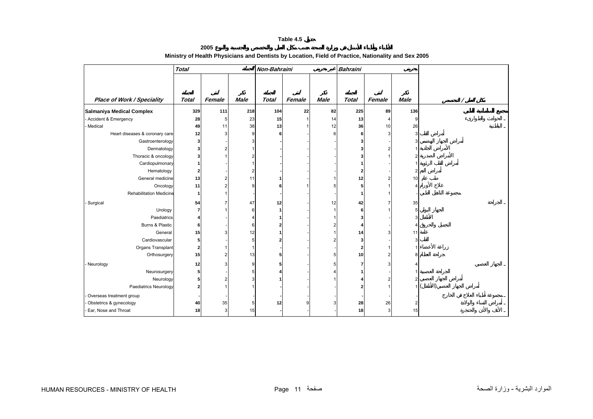**2005**

<span id="page-9-0"></span>

|                                   | <b>Total</b> |        |             | Non-Bahraini |        |                | <b>Bahraini</b> |                |             |  |
|-----------------------------------|--------------|--------|-------------|--------------|--------|----------------|-----------------|----------------|-------------|--|
|                                   |              |        |             |              |        |                |                 |                |             |  |
|                                   |              |        |             |              |        |                |                 |                |             |  |
| <b>Place of Work / Speciality</b> | <b>Total</b> | Female | <b>Male</b> | <b>Total</b> | Female | <b>Male</b>    | <b>Total</b>    | Female         | <b>Male</b> |  |
| <b>Salmaniya Medical Complex</b>  | 329          | 111    | 218         | 104          | 22     | 82             | 225             | 89             | 136         |  |
| Accident & Emergency              | 28           | 5      | 23          | 15           |        | 14             | 13              | 4              | g           |  |
| Medical                           | 49           | 11     | 38          | 13           |        | 12             | 36              | 10             | 26          |  |
| Heart diseases & coronary care    | 12           |        | 9           | 6            |        | 6              | 6               | 3              | 3           |  |
| Gastroenterology                  | 3            |        |             |              |        |                | 3               |                |             |  |
| Dermatology                       |              |        |             |              |        |                |                 | 2              |             |  |
| Thoracic & oncology               |              |        |             |              |        |                |                 |                |             |  |
| Cardiopulmonary                   |              |        |             |              |        |                |                 |                |             |  |
| Hematology                        |              |        |             |              |        |                |                 |                |             |  |
| General medicine                  | 13           |        | 11          |              |        |                | 12              | 2              | 10          |  |
| Oncology                          | 11           |        | q           |              |        | 5              | 5               |                |             |  |
| <b>Rehabilitation Medicine</b>    | -1           |        |             |              |        |                |                 |                |             |  |
| Surgical                          | 54           |        | 47          | 12           |        | 12             | 42              |                | 35          |  |
| Urology                           |              |        | 6           |              |        | $\overline{1}$ | 6               |                | 5           |  |
| Paediatrics                       |              |        |             |              |        |                | 3               |                |             |  |
| Burns & Plastic                   | 6            |        | 6           |              |        | 2              |                 |                |             |  |
| General                           | 15           |        | 12          |              |        |                | 14              | 3              | 11          |  |
| Cardiovascular                    | 5            |        | 5           |              |        | 2              | 3               |                |             |  |
| Organs Transplant                 | 2            |        |             |              |        |                | 2               |                |             |  |
| Orthosurgery                      | 15           |        | 13          | 5            |        | 5              | 10              | 2              |             |  |
| - Neurology                       | 12           |        | я           |              |        | 5              |                 | 3              |             |  |
| Neurosurgery                      | 5            |        | 5           |              |        |                |                 |                |             |  |
| Neurology                         |              |        | з           |              |        |                |                 | $\overline{2}$ |             |  |
| Paediatrics Neurology             |              |        |             |              |        |                |                 |                |             |  |
| Overseas treatment group          |              |        |             |              |        |                |                 |                |             |  |
| Obstetrics & gynecology           | 40           | 35     | 5           | 12           |        |                | 28              | 26             |             |  |
| Ear, Nose and Throat              | 18           | 3      | 15          |              |        |                | 18              | 3              | 15          |  |
|                                   |              |        |             |              |        |                |                 |                |             |  |

# **Ministry of Health Physicians and Dentists by Location, Field of Practice, Nationality and Sex 2005**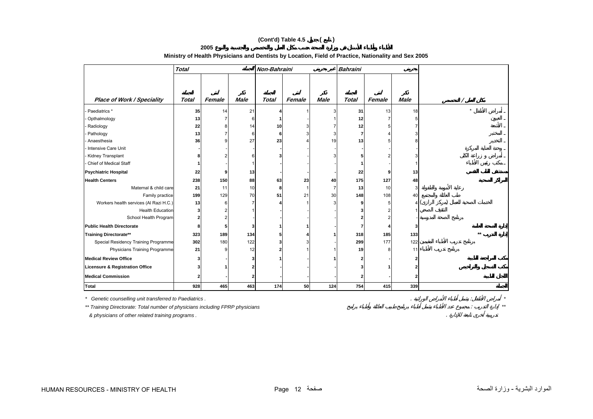## **(Cont'd) Table 4.5 ( )**

**2005**

## **Ministry of Health Physicians and Dentists by Location, Field of Practice, Nationality and Sex 2005**

|                                        | <b>Total</b> |        |             | Non-Bahraini |        |                | <b>Bahraini</b> |        |             |      |
|----------------------------------------|--------------|--------|-------------|--------------|--------|----------------|-----------------|--------|-------------|------|
|                                        |              |        |             |              |        |                |                 |        |             |      |
|                                        |              |        |             |              |        |                |                 |        |             |      |
| <b>Place of Work / Speciality</b>      | <b>Total</b> | Female | <b>Male</b> | <b>Total</b> | Female | <b>Male</b>    | <b>Total</b>    | Female | <b>Male</b> |      |
| Paediatrics *                          | 35           | 14     | 21          |              |        | 3              | 31              | 13     | 18          |      |
| Opthalmology                           | 13           |        | F           |              |        |                | 12              |        |             |      |
| Radiology                              | 22           |        | 14          | 10           |        |                | 12              |        |             |      |
| Pathology                              | 13           |        | 6           | 6            |        | 3              | 7               |        |             |      |
| Anaesthesia                            | 36           |        | 27          | 23           |        | 19             | 13              |        |             |      |
| Intensive Care Unit                    |              |        |             |              |        |                |                 |        |             |      |
| Kidney Transplant                      |              |        | F           |              |        |                |                 |        |             |      |
| Chief of Medical Staff                 |              |        |             |              |        |                |                 |        |             |      |
| <b>Psychiatric Hospital</b>            | 22           |        | 13          |              |        |                | 22              | 9      | 13          |      |
| <b>Health Centers</b>                  | 238          | 150    | 88          | 63           | 23     | 40             | 175             | 127    | 48          |      |
| Maternal & child care                  | 21           | 11     | 10          | 8            |        | $\overline{7}$ | 13              | 10     | 3           |      |
| Family practice                        | 199          | 129    | 70          | 51           | 21     | 30             | 148             | 108    | 40          |      |
| Workers health services (Al Razi H.C.) | 13           | 6      |             |              |        | 3              |                 | 5      |             |      |
| <b>Health Education</b>                | 2            |        |             |              |        |                |                 |        |             |      |
| School Health Program                  | 2            |        |             |              |        |                |                 |        |             |      |
| Public Health Directorate              | ۶            | 5      |             |              |        |                |                 |        |             |      |
| <b>Training Directorate**</b>          | 323          | 189    | 134         |              |        |                | 318             | 185    | 133         | $**$ |
| Special Residency Training Programme   | 302          | 180    | 122         |              |        |                | 299             | 177    | 122         |      |
| Physicians Training Programme          | 21           |        | 12          |              |        |                | 19              |        | 11          |      |
| <b>Medical Review Office</b>           |              |        |             |              |        |                |                 |        |             |      |
| Licensure & Registration Office        |              |        | 2           |              |        |                |                 |        |             |      |
| <b>Medical Commission</b>              | 2            |        |             |              |        |                |                 |        |             |      |
| <b>Total</b>                           | 928          | 465    | 463         | 174          | 50     | 124            | 754             | 415    | 339         |      |

*\* Genetic counselling unit transferred to Paediatrics .* . : *\* \*\* Training Directorate: Total number of physicians including FPRP physicians* : *\*\**

 *& physicians of other related training programs .* .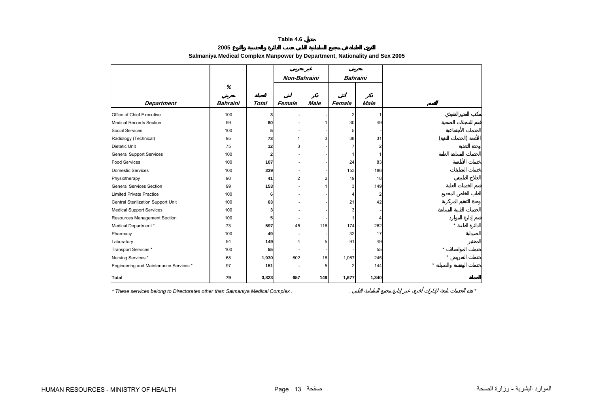**2005**

<span id="page-11-0"></span>

|                                        |                 |              | Non-Bahraini |             | <b>Bahraini</b> |                         |
|----------------------------------------|-----------------|--------------|--------------|-------------|-----------------|-------------------------|
|                                        | %               |              |              |             |                 |                         |
|                                        |                 |              |              |             |                 |                         |
| <b>Department</b>                      | <b>Bahraini</b> | <b>Total</b> | Female       | <b>Male</b> | Female          | <b>Male</b>             |
| Office of Chief Executive              | 100             | 3            |              |             | $\overline{2}$  | 1                       |
| <b>Medical Records Section</b>         | 99              | 80           |              |             | 30              | 49                      |
| Social Services                        | 100             | 5            |              |             | 5               |                         |
| Radiology (Technical)                  | 95              | 73           |              | 3           | 38              | 31                      |
| Dietetic Unit                          | 75              | 12           | 3            |             |                 | $\overline{2}$          |
| <b>General Support Services</b>        | 100             | 2            |              |             |                 | $\mathbf{1}$            |
| <b>Food Services</b>                   | 100             | 107          |              |             | 24              | 83                      |
| <b>Domestic Services</b>               | 100             | 339          |              |             | 153             | 186                     |
| Physiotherapy                          | 90              | 41           | 2            | 2           | 19              | 18                      |
| <b>General Services Section</b>        | 99              | 153          |              |             | 3               | 149                     |
| <b>Limited Private Practice</b>        | 100             | 6            |              |             | Δ               | $\overline{\mathbf{c}}$ |
| Central Sterilization Support Unit     | 100             | 63           |              |             | 21              | 42                      |
| <b>Medical Support Services</b>        | 100             | 3            |              |             | 3               |                         |
| Resources Management Section           | 100             | 5            |              |             |                 | 4                       |
| Medical Department *                   | 73              | 597          | 45           | 116         | 174             | 262                     |
| Pharmacy                               | 100             | 49           |              |             | 32              | 17                      |
| Laboratory                             | 94              | 149          | 4            | 5           | 91              | 49                      |
| Transport Services *                   | 100             | 55           |              |             |                 | 55                      |
| Nursing Services *                     | 68              | 1,930        | 602          | 16          | 1,067           | 245                     |
| Engineering and Maintenance Services * | 97              | 151          |              | 5           | $\overline{2}$  | 144                     |
| Total                                  | 79              | 3,823        | 657          | 149         | 1,677           | 1,340                   |

## **Salmaniya Medical Complex Manpower by Department, Nationality and Sex 2005**

*\* These services belong to Directorates other than Salmaniya Medical Complex .* . *\**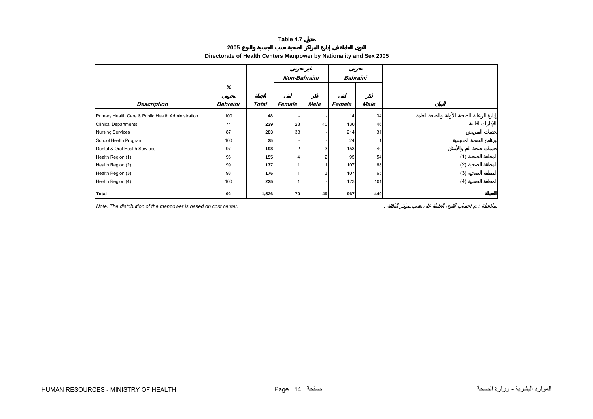### **2005**

## **Directorate of Health Centers Manpower by Nationality and Sex 2005**

<span id="page-12-0"></span>

|                                                    |                 |              | Non-Bahraini |             | Bahraini |             |     |
|----------------------------------------------------|-----------------|--------------|--------------|-------------|----------|-------------|-----|
|                                                    | %               |              |              |             |          |             |     |
| <b>Description</b>                                 | <b>Bahraini</b> | <b>Total</b> | Female       | <b>Male</b> | Female   | <b>Male</b> |     |
| Primary Health Care & Public Health Administration | 100             | 48           |              |             | 14       | 34          |     |
| <b>Clinical Departments</b>                        | 74              | 239          | 23           | 40          | 130      | 46          |     |
| <b>Nursing Services</b>                            | 87              | 283          | 38           |             | 214      | 31          |     |
| School Health Program                              | 100             | 25           |              |             | 24       |             |     |
| Dental & Oral Health Services                      | 97              | 198          | ົ            | 3           | 153      | 40          |     |
| Health Region (1)                                  | 96              | 155          |              | 2           | 95       | 54          | (1) |
| Health Region (2)                                  | 99              | 177          |              |             | 107      | 68          | (2) |
| Health Region (3)                                  | 98              | 176          |              | 3           | 107      | 65          | (3) |
| Health Region (4)                                  | 100             | 225          |              |             | 123      | 101         | (4) |
| <b>Total</b>                                       | 92              | 1,526        | 70           | 49          | 967      | 440         |     |

*Note: The distribution of the manpower is based on cost center.* . :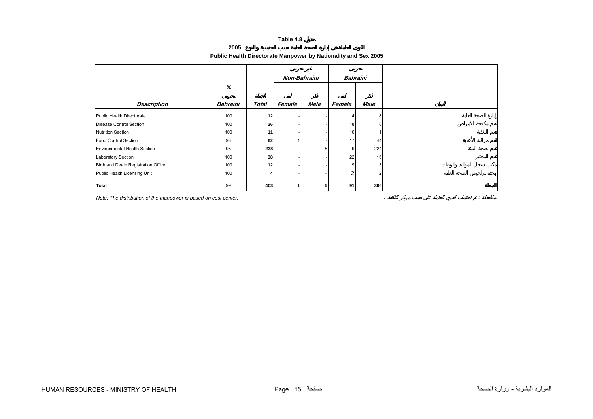# **Public Health Directorate Manpower by Nationality and Sex 2005**

**2005**

<span id="page-13-0"></span>

|                                     |                 |              | Non-Bahraini |             | <b>Bahraini</b> |             |
|-------------------------------------|-----------------|--------------|--------------|-------------|-----------------|-------------|
|                                     | %               |              |              |             |                 |             |
| <b>Description</b>                  | <b>Bahraini</b> | <b>Total</b> | Female       | <b>Male</b> | Female          | <b>Male</b> |
| Public Health Directorate           | 100             | 12           |              |             |                 | 8           |
| Disease Control Section             | 100             | 26           |              |             | 18              | 8           |
| <b>Nutrition Section</b>            | 100             | 11           |              |             | 10              |             |
| <b>Food Control Section</b>         | 98              | 62           |              |             | 17              | 44          |
| <b>Environmental Health Section</b> | 98              | 238          |              | 5           | 9               | 224         |
| <b>Laboratory Section</b>           | 100             | 38           |              |             | 22              | 16          |
| Birth and Death Registration Office | 100             | 12           |              |             | 9               | 3           |
| Public Health Licensing Unit        | 100             | 4            |              |             | 2               | 2           |
| <b>Total</b>                        | 99              | 403          |              | 5           | 91              | 306         |

*Note: The distribution of the manpower is based on cost center.* . :

HUMAN RESOURCES - MINISTRY OF HEALTH Page 15 صفحة الصحة وزارة - البشرية الموارد